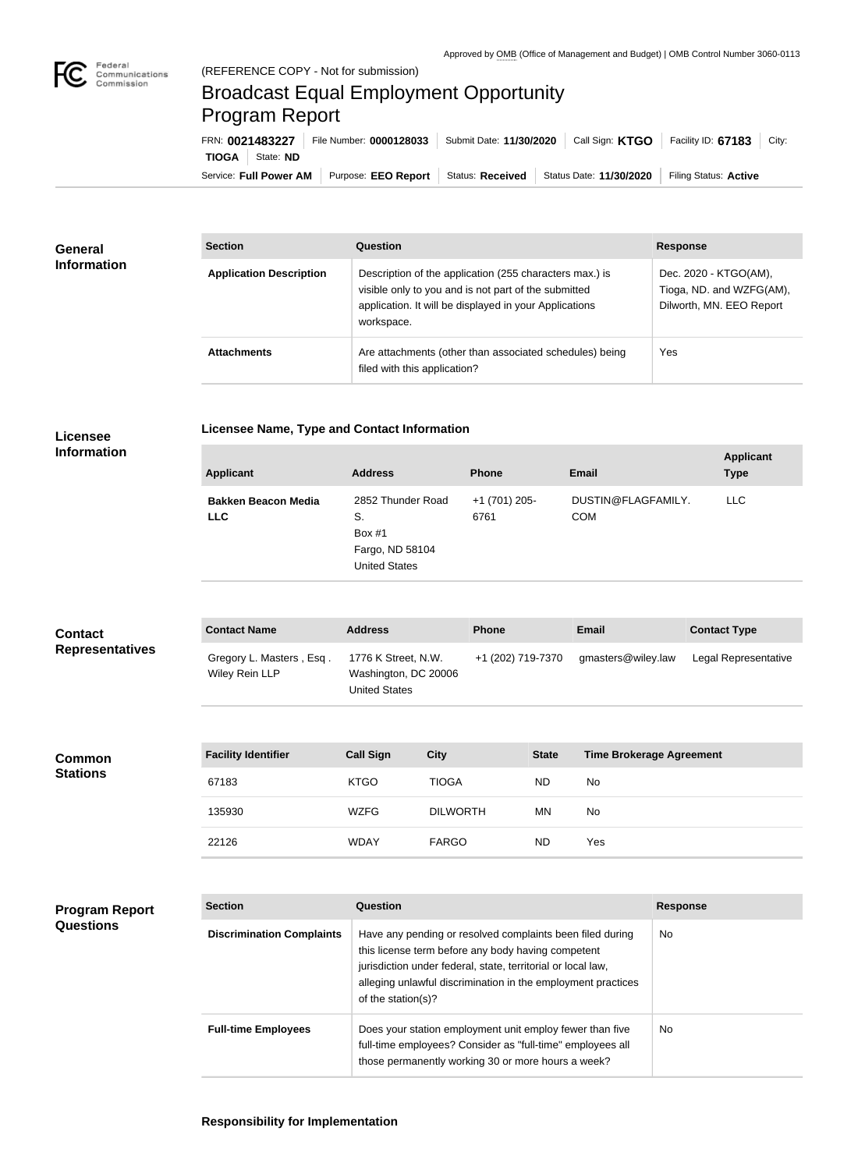

## Broadcast Equal Employment Opportunity Program Report

Service: Full Power AM | Purpose: EEO Report | Status: Received | Status Date: 11/30/2020 | Filing Status: Active **TIOGA** State: **ND** FRN: **0021483227** File Number: **0000128033** Submit Date: **11/30/2020** Call Sign: **KTGO** Facility ID: **67183** City:

| <b>General</b><br><b>Information</b> | <b>Section</b>                 | Question                                                                                                                                                                                | <b>Response</b>                                                               |
|--------------------------------------|--------------------------------|-----------------------------------------------------------------------------------------------------------------------------------------------------------------------------------------|-------------------------------------------------------------------------------|
|                                      | <b>Application Description</b> | Description of the application (255 characters max.) is<br>visible only to you and is not part of the submitted<br>application. It will be displayed in your Applications<br>workspace. | Dec. 2020 - KTGO(AM),<br>Tioga, ND. and WZFG(AM),<br>Dilworth, MN. EEO Report |
|                                      | <b>Attachments</b>             | Are attachments (other than associated schedules) being<br>filed with this application?                                                                                                 | Yes                                                                           |

## **Licensee**

**Licensee Name, Type and Contact Information**

## **Information**

| <b>Applicant</b>                         | <b>Address</b>                                                                 | <b>Phone</b>          | <b>Email</b>                     | <b>Applicant</b><br><b>Type</b> |
|------------------------------------------|--------------------------------------------------------------------------------|-----------------------|----------------------------------|---------------------------------|
| <b>Bakken Beacon Media</b><br><b>LLC</b> | 2852 Thunder Road<br>S.<br>Box $#1$<br>Fargo, ND 58104<br><b>United States</b> | +1 (701) 205-<br>6761 | DUSTIN@FLAGFAMILY.<br><b>COM</b> | LLC.                            |

| <b>Contact</b><br><b>Representatives</b> | <b>Contact Name</b>                        | <b>Address</b>                                                      | <b>Phone</b>      | <b>Email</b>       | <b>Contact Type</b>  |
|------------------------------------------|--------------------------------------------|---------------------------------------------------------------------|-------------------|--------------------|----------------------|
|                                          | Gregory L. Masters, Esq.<br>Wiley Rein LLP | 1776 K Street, N.W.<br>Washington, DC 20006<br><b>United States</b> | +1 (202) 719-7370 | gmasters@wiley.law | Legal Representative |

| <b>Common</b><br><b>Stations</b> | <b>Facility Identifier</b> | <b>Call Sign</b> | <b>City</b>     | <b>State</b> | Time Brokerage Agreement |
|----------------------------------|----------------------------|------------------|-----------------|--------------|--------------------------|
|                                  | 67183                      | <b>KTGO</b>      | <b>TIOGA</b>    | <b>ND</b>    | No                       |
|                                  | 135930                     | <b>WZFG</b>      | <b>DILWORTH</b> | MN           | No                       |
|                                  | 22126                      | <b>WDAY</b>      | <b>FARGO</b>    | <b>ND</b>    | Yes                      |

| <b>Program Report</b> |
|-----------------------|
| <b>Questions</b>      |

| <b>Section</b>                   | Question                                                                                                                                                                                                                                                              | <b>Response</b> |
|----------------------------------|-----------------------------------------------------------------------------------------------------------------------------------------------------------------------------------------------------------------------------------------------------------------------|-----------------|
| <b>Discrimination Complaints</b> | Have any pending or resolved complaints been filed during<br>this license term before any body having competent<br>jurisdiction under federal, state, territorial or local law,<br>alleging unlawful discrimination in the employment practices<br>of the station(s)? | No.             |
| <b>Full-time Employees</b>       | Does your station employment unit employ fewer than five<br>full-time employees? Consider as "full-time" employees all<br>those permanently working 30 or more hours a week?                                                                                          | No.             |